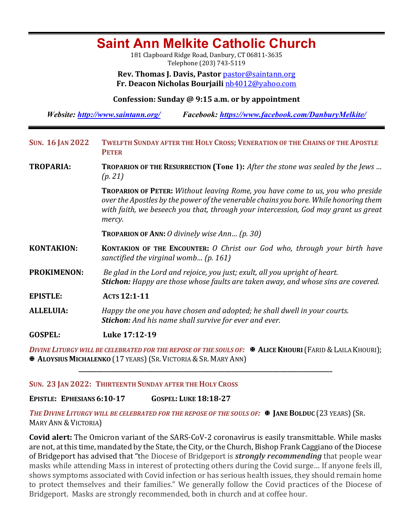# **Saint Ann Melkite Catholic Church**

181 Clapboard Ridge Road, Danbury, CT 06811-3635 Telephone (203) 743-5119

**Rev. Thomas J. Davis, Pastor** pastor@saintann.org **Fr. Deacon Nicholas Bourjaili** nb4012@yahoo.com

**Confession: Sunday @ 9:15 a.m. or by appointment**

*Website: http://www.saintann.org/ Facebook: https://www.facebook.com/DanburyMelkite/* 

| <b>SUN. 16 JAN 2022</b> | TWELFTH SUNDAY AFTER THE HOLY CROSS; VENERATION OF THE CHAINS OF THE APOSTLE<br><b>PETER</b>                                                                                                                                                                                  |  |  |  |
|-------------------------|-------------------------------------------------------------------------------------------------------------------------------------------------------------------------------------------------------------------------------------------------------------------------------|--|--|--|
| <b>TROPARIA:</b>        | TROPARION OF THE RESURRECTION (Tone 1): After the stone was sealed by the Jews<br>(p. 21)                                                                                                                                                                                     |  |  |  |
|                         | <b>TROPARION OF PETER:</b> Without leaving Rome, you have come to us, you who preside<br>over the Apostles by the power of the venerable chains you bore. While honoring them<br>with faith, we beseech you that, through your intercession, God may grant us great<br>mercy. |  |  |  |
|                         | <b>TROPARION OF ANN:</b> O divinely wise Ann $(p. 30)$                                                                                                                                                                                                                        |  |  |  |
| <b>KONTAKION:</b>       | <b>KONTAKION OF THE ENCOUNTER:</b> O Christ our God who, through your birth have<br>sanctified the virginal womb (p. 161)                                                                                                                                                     |  |  |  |
| <b>PROKIMENON:</b>      | Be glad in the Lord and rejoice, you just; exult, all you upright of heart.<br>Stichon: Happy are those whose faults are taken away, and whose sins are covered.                                                                                                              |  |  |  |
| <b>EPISTLE:</b>         | ACTS 12:1-11                                                                                                                                                                                                                                                                  |  |  |  |
| <b>ALLELUIA:</b>        | Happy the one you have chosen and adopted; he shall dwell in your courts.<br><b>Stichon:</b> And his name shall survive for ever and ever.                                                                                                                                    |  |  |  |
| <b>GOSPEL:</b>          | Luke 17:12-19                                                                                                                                                                                                                                                                 |  |  |  |
|                         | DIVINE LITURGY WILL BE CELEBRATED FOR THE REPOSE OF THE SOULS OF: $\mathbb R$ ALICE KHOURI (FARID & LAILA KHOURI);                                                                                                                                                            |  |  |  |

**X ALOYSIUS MICHALENKO** (17 YEARS) (SR. VICTORIA & SR. MARY ANN)

#### **SUN. 23 JAN 2022: THIRTEENTH SUNDAY AFTER THE HOLY CROSS**

**EPISTLE: EPHESIANS 6:10-17 GOSPEL: LUKE 18:18-27**

**THE DIVINE LITURGY WILL BE CELEBRATED FOR THE REPOSE OF THE SOULS OF: <sup>■</sup> JANE BOLDUC (23 YEARS) (SR.** MARY ANN & VICTORIA)

**\_\_\_\_\_\_\_\_\_\_\_\_\_\_\_\_\_\_\_\_\_\_\_\_\_\_\_\_\_\_\_\_\_\_\_\_\_\_\_\_\_\_\_\_\_\_\_\_\_\_\_\_\_\_\_\_\_\_\_\_\_\_\_\_\_\_\_\_\_\_\_\_\_\_\_\_\_\_\_\_\_\_\_\_\_**

**Covid alert:** The Omicron variant of the SARS-CoV-2 coronavirus is easily transmittable. While masks are not, at this time, mandated by the State, the City, or the Church, Bishop Frank Caggiano of the Diocese of Bridgeport has advised that "the Diocese of Bridgeport is *strongly recommending* that people wear masks while attending Mass in interest of protecting others during the Covid surge... If anyone feels ill, shows symptoms associated with Covid infection or has serious health issues, they should remain home to protect themselves and their families." We generally follow the Covid practices of the Diocese of Bridgeport. Masks are strongly recommended, both in church and at coffee hour.